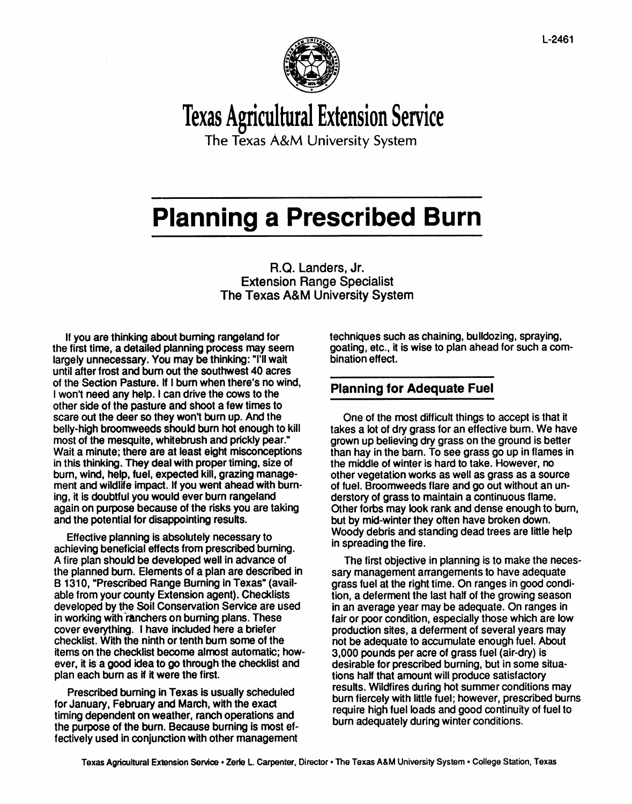

# Texas Agricultural Extension Service

**The Texas A&M University System**

## **Planning a Prescribed Burn**

R.Q. Landers, Jr. Extension Range Specialist The Texas A&M University System

If you are thinking about burning rangeland for the first time, a detailed planning process may seem largely unnecessary. You may be thinking: "I'll wait until after frost and bum out the southwest 40 acres of the Section Pasture. If I burn when there's no wind, I won't need any help. I can drive the cows to the other side of the pasture and shoot a few times to scare out the deer so they won't burn up. And the belly-high broomweeds should burn hot enough to kill most of the mesquite, whitebrush and prickly pear." Wait a minute; there are at least eight misconceptions in this thinking. They deal with proper timing, size of burn, wind, help, fuel, expected kill, grazing management and wildlife impact. If you went ahead with burning, it is doubtful you would ever burn rangeland again on purpose because of the risks you are taking and the potential for disappointing results.

Effective planning is absolutely necessary to achieving beneficial effects from prescribed burning. Afire plan should be developed well in advance of the planned bum. Elements of a plan are described in B 1310, "Prescribed Range Burning in Texas" (available from your county Extension agent). Checklists developed by the Soil Conservation Service are used in working with ranchers on burning plans. These cover everything. I have included here a briefer checklist. With the ninth or tenth bum some of the items on the checklist become almost automatic; however, it is a good idea to go through the checklist and plan each burn as if it were the first.

Prescribed burning in Texas is usually scheduled for January, February and March, with the exact timing dependent on weather, ranch operations and the purpose of the burn. Because burning is most effectively used in conjunction with other management techniques such as chaining, bulldozing, spraying, goating, etc., it is wise to plan ahead for such a combination effect.

#### **Planning for Adequate Fuel**

One of the most difficult things to accept is that it takes a lot of dry grass for an effective bum. We have grown up believing dry grass on the ground is better than hay in the barn. To see grass go up in flames in the middle of winter is hard to take. However, no other vegetation works as well as grass as a source of fuel. BroomWeeds flare and go out without an understory of grass to maintain a continuous flame. Other forbs may look rank and dense enough to burn, but by mid-winter they often have broken down. Woody debris and standing dead trees are little help in spreading the fire.

The first objective in planning is to make the necessary management arrangements to have adequate grass fuel at the right time. On ranges in good condition, a deferment the last half of the growing season in an average year maybe adequate. On ranges in fair or poor condition, especially those which are low production sites, a deferment of several years may not be adequate to accumulate enough fuel. About 3,000 pounds per acre of grass fuel (air-dry) is desirable for prescribed burning, but in some situations half that amount will produce satisfactory results. Wildfires during hot summer conditions may burn fiercely with little fuel; however, prescribed burns require high fuel loads and good continuity of fuel to burn adequately during winter conditions.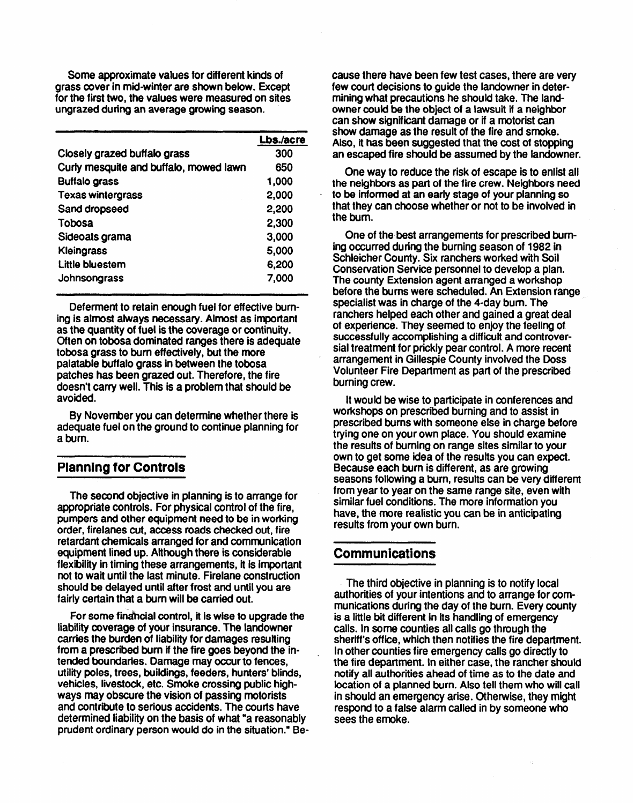Some approximate values for different kinds of grass cover in mid-winter are shown below. Except for the first two, the values were measured on sites ungrazed during an average growing season.

|                                        | Lbs./acre |
|----------------------------------------|-----------|
| Closely grazed buffalo grass           | 300       |
| Curly mesquite and buffalo, mowed lawn | 650       |
| <b>Buffalo grass</b>                   | 1,000     |
| <b>Texas wintergrass</b>               | 2,000     |
| Sand dropseed                          | 2,200     |
| Tobosa                                 | 2,300     |
| Sideoats grama                         | 3,000     |
| <b>Kleingrass</b>                      | 5,000     |
| Little bluestem                        | 6,200     |
| Johnsongrass                           | 7.000     |

Deferment to retain enough fuel for effective burning is almost always necessary. Almost as important as the quantity of fuel is the coverage or continuity. Often on tobosa dominated ranges there is adequate tobosa grass to bum effectively, but the more palatable buffalo grass in between the tobosa patches has been grazed out. Therefore, the fire doesn't carry well. This is a problem that should be avoided.

By November you can determine whether there is adequate fuel on the ground to continue planning for a burn.

#### **Planning for Controls**

The second objective in planning is to arrange for appropriate controls. For physical control of the fire, pumpers and other equipment need to be in working order, firelanes cut, access roads checked out, fire retardant chemicals arranged for and communication equipment lined up. Although there is considerable flexibility in timing these arrangements, it is important not to wait until the last minute. Firelane construction should be delayed until after frost and until you are fairly certain that a bum will be carried out.

For some financial control, it is wise to upgrade the liability coverage of your insurance. The landowner carries the burden of liability for damages resulting from a prescribed bum if the fire goes beyond the intended boundaries. Damage may occur to fences, utility poles, trees, buildings, feeders, hunters' blinds, vehicles, livestock, etc. Smoke crossing public highways may obscure the vision of passing motorists and contribute to serious accidents. The courts have determined liability on the basis of what "a reasonably prudent ordinary person would do in the situation." Because there have been few test cases, there are very few court decisions to guide the landowner in determining what precautions he should take. The landowner could be the object of a lawsuit if **a** neighbor can show **significant**damage or if a motorist can show damage **as** the result of the fire and smoke. Also, it has been suggested that the cost of stopping an escaped fire should be assumed by the landowner.

One way to reduce the risk of escape is to enlist all the neighbors as part of the fire crew. Neighbors need to be informed at an early stage of your planning so that they can choose whether or not to be involved in the burn.

One of the best arrangements for prescribed burning occurred during the burning season of 1982 in Schleicher County. Six ranchers worked with Soil Conservation Service personnel to develop a plan. The county Extension agent arranged a workshop before the burns were scheduled. An Extension range specialist was in charge of the 4-day burn. The ranchers helped each other and gained a great deal of experience. They seemed to enjoy the feeling of successfully accomplishing a difficult and controversial treatment for prickly pear control. A more recent arrangement in Gillespie County involved the Doss Volunteer Fire Department as part of the prescribed burning crew.

It would be wise to participate in conferences and workshops on prescribed burning and to assist in prescribed burns with someone else in charge before trying one on your own place. You should examine the results of burning on range sites similar to your own to get some idea of the results you can expect. Because each burn is different, as are growing seasons following a bum, results can be very different from year to year on the same range site, even with similar fuel conditions. The more information you have, the more realistic you can be in anticipating results from your own burn.

#### **Communications**

The third objective in planning is to notify local authorities of your intentions and to arrange for communications during the day of the burn. Every county is a little bit different in its handling of emergency calls. In some counties all calls go through the sheriff's office, which then notifies the fire department. In other counties fire emergency calls go directly to the fire department. In either case, the rancher should notify all authorities ahead of time as to the date and location of a planned burn. Also tell them who will call in should an emergency arise. Otherwise, they might respond to a false alarm called in by someone who sees the smoke.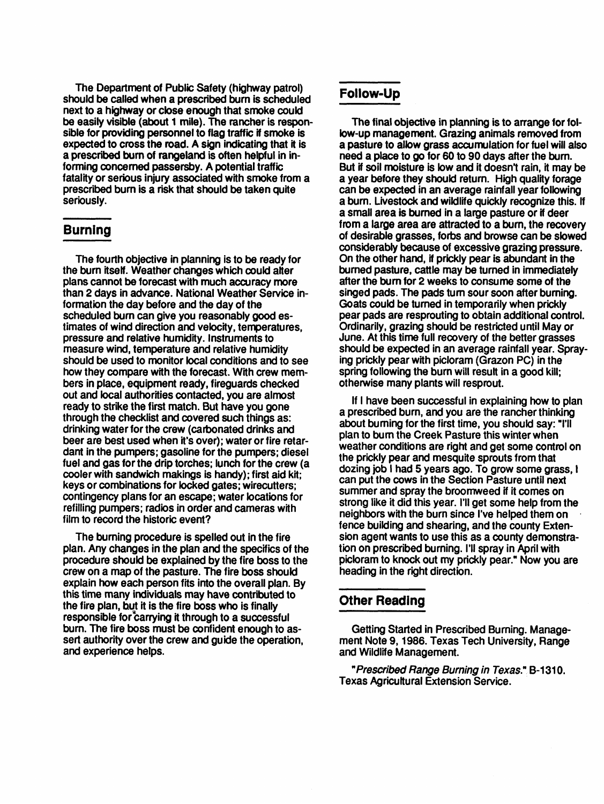The Department of Public Safety (highway patrol) should be called when a prescribed burn is scheduled next to a highway or close enough that smoke could be easily visible (about 1 mile). The rancher is responsible for providing personnel to flag traffic if smoke is expected to cross the road. A sign indicating that it is a prescribed bum of rangeland is often helpful in informing concerned passersby. A potential traffic fatality or serious injury associated with smoke from a prescribed bum is a risk that should be taken quite seriously.

#### **Burning**

The fourth objective in planning is to be ready for the burn itself. Weather changes which could alter plans cannot be forecast with much accuracy more than 2 days in advance. National Weather Service information the day before and the day of the scheduled bum can give you reasonably good estimates of wind direction and velocity, temperatures, pressure and relative humidity. Instruments to measure wind, temperature and relative humidity should be used to monitor local conditions and to see how they compare with the forecast. With crew members in place, equipment ready, fireguards checked out and local authorities contacted, you are almost ready to strike the first match. But have you gone through the checklist and covered such things as: drinking water for the crew (carbonated drinks and beer are best used when it's over); water or fire retardant in the pumpers; gasoline for the pumpers; diesel fuel and gas for the drip torches; lunch for the crew (a cooler with sandwich makings is handy); first aid kit; keys or combinations for locked gates; wirecutters; contingency plans for an escape; water locations for refilling pumpers; radios in order and cameras with film to record the historic event?

The burning procedure is spelled out in the fire plan.Any changes in the plan and the specifics of the procedure should be explained by the fire boss to the crew on a map of the pasture. The fire boss should explain how each person fits into the overall plan. By this time many individuals may have contributed to the fire plan, but it is the fire boss who is finally responsible for carrying it through to a successful bum. The fire boss must be confident enough to assert authority over the crew and guide the operation, and experience helps.

#### **Follow-Up**

The final objective in planning is to arrange for follow-up management. Grazing animals removed from a pasture to allow grass accumulation for fuel will also need a place to go for 60 to 90 days after the burn. But if soil moisture is low and it doesn't rain, it maybe a year before they should return. High quality forage can be expected in an average rainfall year following a burn. Livestock and wildlife quickly recognize this. If a small area is burned in a large pasture or if deer from a large area are attracted to a burn, the recovery of desirable grasses, forbs and browse can be slowed considerably because of excessive grazing pressure. On the other hand, if prickly pear is abundant in the burned pasture, cattle may be turned in immediately after the bum for 2 weeks to consume some of the singed pads. The pads turn sour soon after burning. Goats could be turned in temporarily when prickly pear pads are resprouting to obtain additional control. Ordinarily, grazing should be restricted until Mayor June. At this time full recovery of the better grasses should be expected in an average rainfall year. Spraying prickly pear with picloram (Grazon PC) in the spring following the burn will result in a good kill; otherwise many plants will resprout.

If I have been successful in explaining how to plan a prescribed burn, and you are the rancher thinking about burning for the first time, you should say: 'I'll plan to bum the Creek Pasture this winter when weather conditions are right and get some control on the prickly pear and mesquite sprouts from that dozing job I had 5 years ago. To grow some grass, I can put the cows in the Section Pasture until next summer and spray the broomweed if it comes on strong like it did this year. I'll get some help from the neighbors with the burn since I've helped them on fence building and shearing, and the county Extension agent wants to use this as a county demonstration on prescribed burning. I'll spray in April with picloram to knock out my prickly pear." Now you are heading in the right direction.

#### **Other Reading**

Getting Started in Prescribed Burning. Management Note 9, 1986. Texas Tech University, Range and Wildlife Management.

"Prescribed Range Burning in Texas." B-1310, Texas Agricultural Extension Service.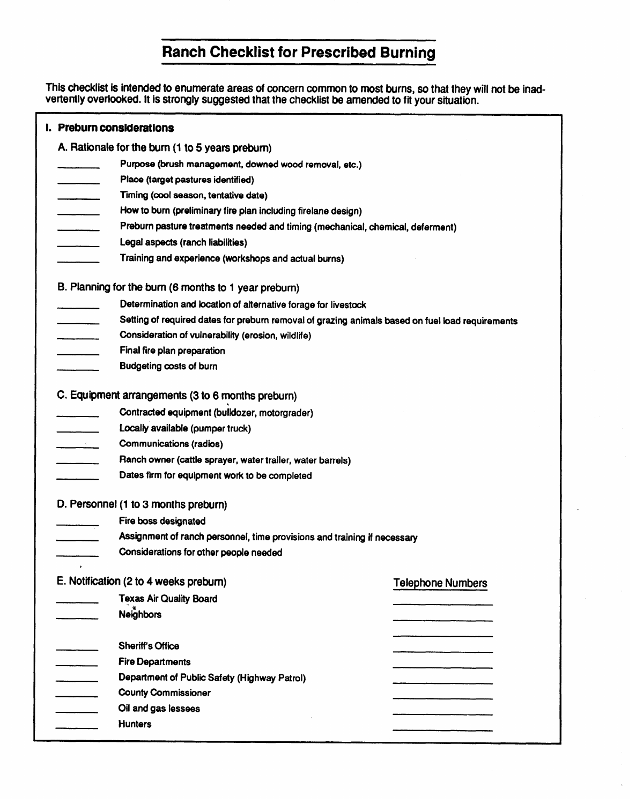### **Ranch Checklist for Prescribed Burning**

This checklist is intended to enumerate areas of concern common to most burns, so that they will not be inadvertently overlooked. It is strongly suggested that the checklist be amended to fit your situation.

|                                                       | I. Preburn considerations                                                                        |                                                                                |                          |  |  |  |  |
|-------------------------------------------------------|--------------------------------------------------------------------------------------------------|--------------------------------------------------------------------------------|--------------------------|--|--|--|--|
|                                                       | A. Rationale for the burn (1 to 5 years preburn)                                                 |                                                                                |                          |  |  |  |  |
|                                                       |                                                                                                  | Purpose (brush management, downed wood removal, etc.)                          |                          |  |  |  |  |
|                                                       |                                                                                                  | Place (target pastures identified)                                             |                          |  |  |  |  |
|                                                       |                                                                                                  | Timing (cool season, tentative date)                                           |                          |  |  |  |  |
|                                                       |                                                                                                  | How to burn (preliminary fire plan including firelane design)                  |                          |  |  |  |  |
|                                                       |                                                                                                  | Preburn pasture treatments needed and timing (mechanical, chemical, deferment) |                          |  |  |  |  |
|                                                       |                                                                                                  | Legal aspects (ranch liabilities)                                              |                          |  |  |  |  |
|                                                       |                                                                                                  | Training and experience (workshops and actual burns)                           |                          |  |  |  |  |
| B. Planning for the burn (6 months to 1 year preburn) |                                                                                                  |                                                                                |                          |  |  |  |  |
|                                                       | Determination and location of alternative forage for livestock                                   |                                                                                |                          |  |  |  |  |
|                                                       | Setting of required dates for preburn removal of grazing animals based on fuel load requirements |                                                                                |                          |  |  |  |  |
|                                                       | Consideration of vulnerability (erosion, wildlife)                                               |                                                                                |                          |  |  |  |  |
|                                                       |                                                                                                  | Final fire plan preparation                                                    |                          |  |  |  |  |
|                                                       |                                                                                                  | <b>Budgeting costs of burn</b>                                                 |                          |  |  |  |  |
|                                                       | C. Equipment arrangements (3 to 6 months preburn)                                                |                                                                                |                          |  |  |  |  |
|                                                       |                                                                                                  | Contracted equipment (bulldozer, motorgrader)                                  |                          |  |  |  |  |
|                                                       |                                                                                                  | Locally available (pumper truck)                                               |                          |  |  |  |  |
|                                                       | $\mathcal{L} = \{ \mathcal{L} \}$                                                                | Communications (radios)                                                        |                          |  |  |  |  |
|                                                       |                                                                                                  | Ranch owner (cattle sprayer, water trailer, water barrels)                     |                          |  |  |  |  |
|                                                       |                                                                                                  | Dates firm for equipment work to be completed                                  |                          |  |  |  |  |
|                                                       |                                                                                                  | D. Personnel (1 to 3 months preburn)                                           |                          |  |  |  |  |
|                                                       | Fire boss designated                                                                             |                                                                                |                          |  |  |  |  |
|                                                       | Assignment of ranch personnel, time provisions and training if necessary                         |                                                                                |                          |  |  |  |  |
|                                                       | Considerations for other people needed                                                           |                                                                                |                          |  |  |  |  |
|                                                       | $\mathbf{r}$                                                                                     | E. Notification (2 to 4 weeks preburn)                                         | <b>Telephone Numbers</b> |  |  |  |  |
|                                                       |                                                                                                  | <b>Texas Air Quality Board</b>                                                 |                          |  |  |  |  |
|                                                       |                                                                                                  | <b>Neighbors</b>                                                               |                          |  |  |  |  |
|                                                       |                                                                                                  | <b>Sheriff's Office</b>                                                        |                          |  |  |  |  |
|                                                       |                                                                                                  | <b>Fire Departments</b>                                                        |                          |  |  |  |  |
|                                                       |                                                                                                  | Department of Public Safety (Highway Patrol)                                   |                          |  |  |  |  |
|                                                       |                                                                                                  | <b>County Commissioner</b>                                                     |                          |  |  |  |  |
|                                                       |                                                                                                  | Oil and gas lessees                                                            |                          |  |  |  |  |
|                                                       |                                                                                                  | <b>Hunters</b>                                                                 |                          |  |  |  |  |
|                                                       |                                                                                                  |                                                                                |                          |  |  |  |  |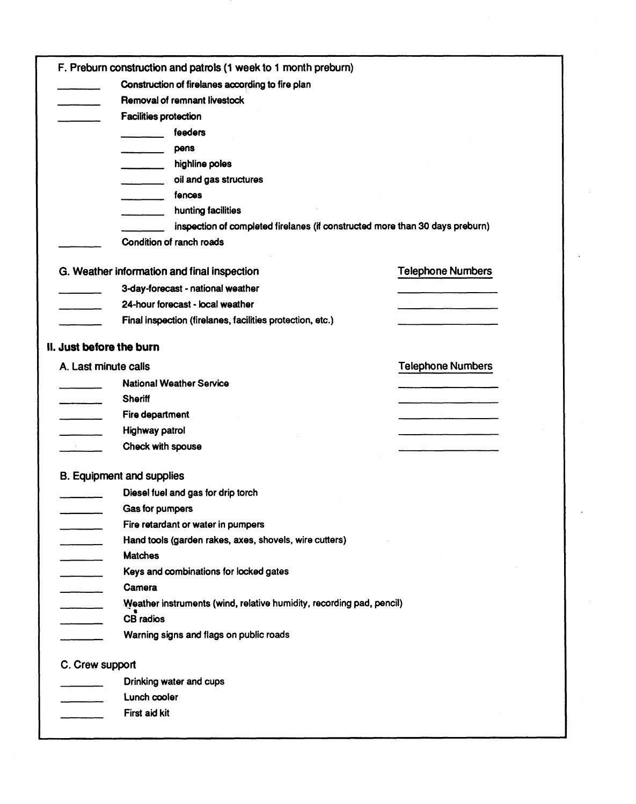|                                 | F. Preburn construction and patrols (1 week to 1 month preburn)              |                          |
|---------------------------------|------------------------------------------------------------------------------|--------------------------|
|                                 | Construction of firelanes according to fire plan                             |                          |
|                                 | Removal of remnant livestock                                                 |                          |
|                                 | <b>Facilities protection</b>                                                 |                          |
|                                 | feeders                                                                      |                          |
|                                 | pens                                                                         |                          |
|                                 | highline poles<br>and and the state                                          |                          |
|                                 | oil and gas structures                                                       |                          |
|                                 | fences                                                                       |                          |
|                                 | hunting facilities                                                           |                          |
|                                 | inspection of completed firelanes (if constructed more than 30 days preburn) |                          |
|                                 | Condition of ranch roads                                                     |                          |
|                                 | G. Weather information and final inspection                                  | <b>Telephone Numbers</b> |
|                                 | 3-day-forecast - national weather                                            |                          |
|                                 | 24-hour forecast - local weather                                             |                          |
|                                 | Final inspection (firelanes, facilities protection, etc.)                    |                          |
|                                 | II. Just before the burn                                                     |                          |
| A. Last minute calls            |                                                                              | <b>Telephone Numbers</b> |
|                                 |                                                                              |                          |
|                                 | <b>National Weather Service</b>                                              |                          |
|                                 | <b>Sheriff</b>                                                               |                          |
|                                 | Fire department                                                              |                          |
|                                 | Highway patrol                                                               |                          |
| $\Delta \sim 10^{11}$ m $^{-1}$ | Check with spouse                                                            |                          |
|                                 | <b>B. Equipment and supplies</b>                                             |                          |
|                                 | Diesel fuel and gas for drip torch                                           |                          |
|                                 | Gas for pumpers                                                              |                          |
|                                 | Fire retardant or water in pumpers                                           |                          |
|                                 | Hand tools (garden rakes, axes, shovels, wire cutters)                       |                          |
|                                 | <b>Matches</b>                                                               |                          |
|                                 | Keys and combinations for locked gates                                       |                          |
|                                 | Camera                                                                       |                          |
|                                 | Weather instruments (wind, relative humidity, recording pad, pencil)         |                          |
|                                 | <b>CB</b> radios                                                             |                          |
|                                 | Warning signs and flags on public roads                                      |                          |
| C. Crew support                 |                                                                              |                          |
|                                 | Drinking water and cups                                                      |                          |
|                                 | Lunch cooler                                                                 |                          |